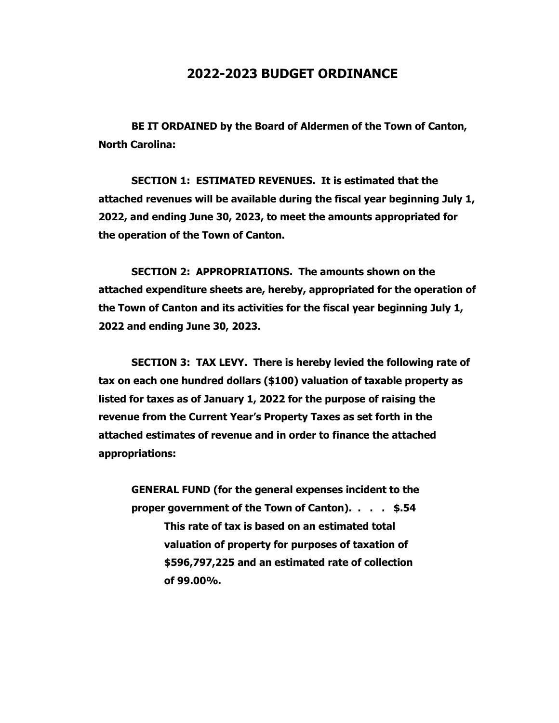## **2022-2023 BUDGET ORDINANCE**

**BE IT ORDAINED by the Board of Aldermen of the Town of Canton, North Carolina:**

**SECTION 1: ESTIMATED REVENUES. It is estimated that the attached revenues will be available during the fiscal year beginning July 1, 2022, and ending June 30, 2023, to meet the amounts appropriated for the operation of the Town of Canton.**

**SECTION 2: APPROPRIATIONS. The amounts shown on the attached expenditure sheets are, hereby, appropriated for the operation of the Town of Canton and its activities for the fiscal year beginning July 1, 2022 and ending June 30, 2023.**

**SECTION 3: TAX LEVY. There is hereby levied the following rate of tax on each one hundred dollars (\$100) valuation of taxable property as listed for taxes as of January 1, 2022 for the purpose of raising the revenue from the Current Year's Property Taxes as set forth in the attached estimates of revenue and in order to finance the attached appropriations:**

**GENERAL FUND (for the general expenses incident to the proper government of the Town of Canton). . . . \$.54 This rate of tax is based on an estimated total valuation of property for purposes of taxation of \$596,797,225 and an estimated rate of collection of 99.00%.**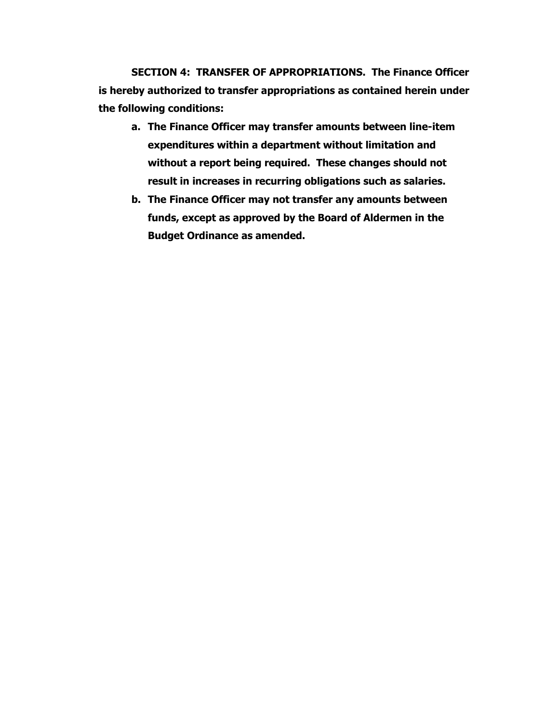**SECTION 4: TRANSFER OF APPROPRIATIONS. The Finance Officer is hereby authorized to transfer appropriations as contained herein under the following conditions:**

- **a. The Finance Officer may transfer amounts between line-item expenditures within a department without limitation and without a report being required. These changes should not result in increases in recurring obligations such as salaries.**
- **b. The Finance Officer may not transfer any amounts between funds, except as approved by the Board of Aldermen in the Budget Ordinance as amended.**